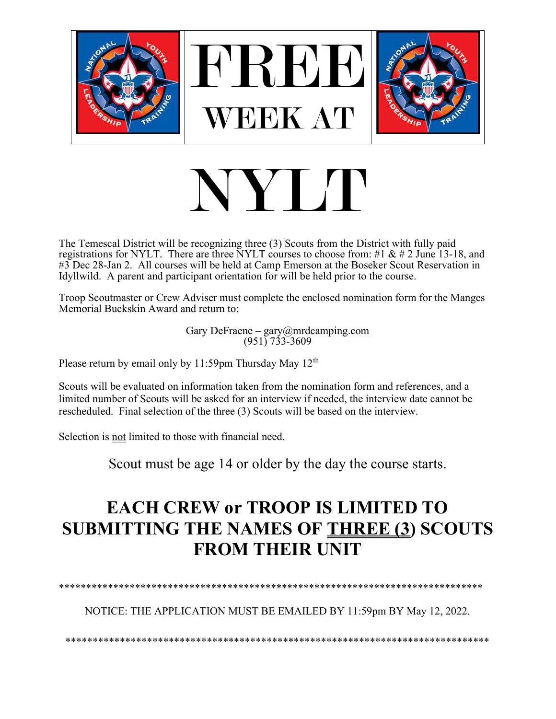

## NY M

The Temescal District will be recognizing three (3) Scouts from the District with fully paid registrations for NYLT. There are three NYLT courses to choose from: #1 & # 2 June 13-18, and #3 Dec 28-Jan 2. All courses will be held at Camp Emerson at the Boseker Scout Reservation in Idyllwild. A parent and participant orientation for will be held prior to the course.

Troop Scoutmaster or Crew Adviser must complete the enclosed nomination form for the Manges Memorial Buckskin Award and return to:

Gary DeFraene - gary@mrdcamping.com<br>(951) 733-3609

Please return by email only by 11:59pm Thursday May  $12<sup>th</sup>$ 

Scouts will be evaluated on information taken from the nomination form and references, and a limited number of Scouts will be asked for an interview if needed, the interview date cannot be rescheduled. Final selection of the three (3) Scouts will be based on the interview.

Selection is not limited to those with financial need.

Scout must be age 14 or older by the day the course starts.

## **EACH CREW or TROOP IS LIMITED TO SUBMITTING THE NAMES OF THREE (3) SCOUTS FROM THEIR UNIT**

NOTICE: THE APPLICATION MUST BE EMAILED BY 11:59pm BY May 12, 2022.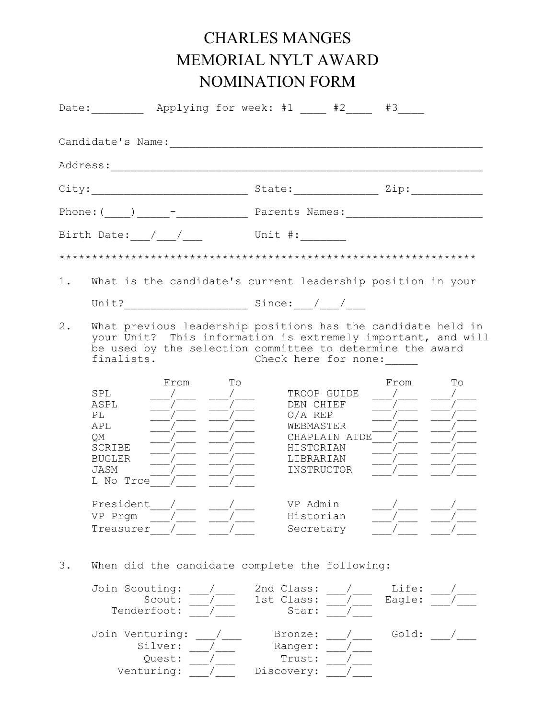## CHARLES MANGES MEMORIAL NYLT AWARD NOMINATION FORM

|       |                                                                                       | Date: Applying for week: #1 42 #3                                                                                                                                                                                 |
|-------|---------------------------------------------------------------------------------------|-------------------------------------------------------------------------------------------------------------------------------------------------------------------------------------------------------------------|
|       |                                                                                       |                                                                                                                                                                                                                   |
|       |                                                                                       |                                                                                                                                                                                                                   |
|       |                                                                                       |                                                                                                                                                                                                                   |
|       |                                                                                       |                                                                                                                                                                                                                   |
|       |                                                                                       | Unit #:                                                                                                                                                                                                           |
|       |                                                                                       |                                                                                                                                                                                                                   |
| $1$ . |                                                                                       | What is the candidate's current leadership position in your                                                                                                                                                       |
|       |                                                                                       |                                                                                                                                                                                                                   |
| $2$ . | finalists.                                                                            | What previous leadership positions has the candidate held in<br>your Unit? This information is extremely important, and will<br>be used by the selection committee to determine the award<br>Check here for none: |
|       | From<br>To<br>SPL<br>ASPL<br>PL<br>APL<br>QM<br>SCRIBE<br>BUGLER<br>JASM<br>L No Trce | From<br>To<br>TROOP GUIDE<br>DEN CHIEF<br>$O/A$ REP<br>WEBMASTER<br>CHAPLAIN AIDE /<br>HISTORIAN<br>LIBRARIAN<br>INSTRUCTOR                                                                                       |
|       | President<br>VP Prgm<br>Treasurer                                                     | VP Admin<br>Historian<br>Secretary                                                                                                                                                                                |
| 3.    | When did the candidate complete the following:                                        |                                                                                                                                                                                                                   |
|       | Join Scouting:<br>Scout:<br>Tenderfoot:                                               | 2nd Class:<br>Life:<br>Eagle:<br>1st Class:<br>Star:                                                                                                                                                              |
|       | Join Venturing:<br>Silver:<br>Quest:<br>Venturing:                                    | Gold:<br>Bronze:<br>Ranger:<br>Trust:<br>Discovery:                                                                                                                                                               |